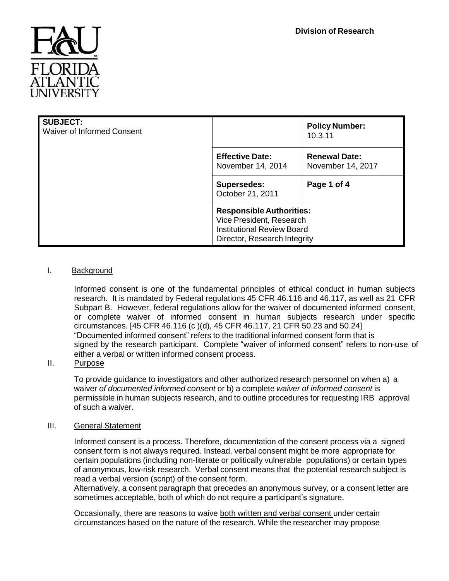

| <b>SUBJECT:</b><br><b>Waiver of Informed Consent</b> |                                                                                                                                  | <b>Policy Number:</b><br>10.3.11          |
|------------------------------------------------------|----------------------------------------------------------------------------------------------------------------------------------|-------------------------------------------|
|                                                      | <b>Effective Date:</b><br>November 14, 2014                                                                                      | <b>Renewal Date:</b><br>November 14, 2017 |
|                                                      | <b>Supersedes:</b><br>October 21, 2011                                                                                           | Page 1 of 4                               |
|                                                      | <b>Responsible Authorities:</b><br>Vice President, Research<br><b>Institutional Review Board</b><br>Director, Research Integrity |                                           |

## I. Background

Informed consent is one of the fundamental principles of ethical conduct in human subjects research. It is mandated by Federal regulations 45 CFR 46.116 and 46.117, as well as 21 CFR Subpart B. However, federal regulations allow for the waiver of documented informed consent, or complete waiver of informed consent in human subjects research under specific circumstances. [45 CFR 46.116 (c )(d), 45 CFR 46.117, 21 CFR 50.23 and 50.24] "Documented informed consent" refers to the traditional informed consent form that is signed by the research participant. Complete "waiver of informed consent" refers to non-use of either a verbal or written informed consent process.

# II. Purpose

To provide guidance to investigators and other authorized research personnel on when a) a waiver *of documented informed consent* or b) a complete *waiver of informed consent* is permissible in human subjects research, and to outline procedures for requesting IRB approval of such a waiver.

### III. General Statement

Informed consent is a process. Therefore, documentation of the consent process via a signed consent form is not always required. Instead, verbal consent might be more appropriate for certain populations (including non-literate or politically vulnerable populations) or certain types of anonymous, low-risk research. Verbal consent means that the potential research subject is read a verbal version (script) of the consent form.

Alternatively, a consent paragraph that precedes an anonymous survey, or a consent letter are sometimes acceptable, both of which do not require a participant's signature.

Occasionally, there are reasons to waive both written and verbal consent under certain circumstances based on the nature of the research. While the researcher may propose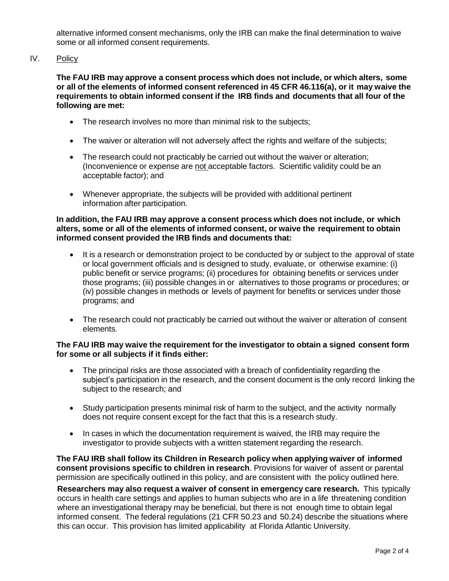alternative informed consent mechanisms, only the IRB can make the final determination to waive some or all informed consent requirements.

### IV. Policy

**The FAU IRB may approve a consent process which does not include, or which alters, some or all of the elements of informed consent referenced in 45 CFR 46.116(a), or it may waive the requirements to obtain informed consent if the IRB finds and documents that all four of the following are met:**

- The research involves no more than minimal risk to the subjects;
- The waiver or alteration will not adversely affect the rights and welfare of the subjects;
- The research could not practicably be carried out without the waiver or alteration; (Inconvenience or expense are not acceptable factors. Scientific validity could be an acceptable factor); and
- Whenever appropriate, the subjects will be provided with additional pertinent information after participation.

#### **In addition, the FAU IRB may approve a consent process which does not include, or which alters, some or all of the elements of informed consent, or waive the requirement to obtain informed consent provided the IRB finds and documents that:**

- It is a research or demonstration project to be conducted by or subject to the approval of state or local government officials and is designed to study, evaluate, or otherwise examine: (i) public benefit or service programs; (ii) procedures for obtaining benefits or services under those programs; (iii) possible changes in or alternatives to those programs or procedures; or (iv) possible changes in methods or levels of payment for benefits or services under those programs; and
- The research could not practicably be carried out without the waiver or alteration of consent elements.

#### **The FAU IRB may waive the requirement for the investigator to obtain a signed consent form for some or all subjects if it finds either:**

- The principal risks are those associated with a breach of confidentiality regarding the subject's participation in the research, and the consent document is the only record linking the subject to the research; and
- Study participation presents minimal risk of harm to the subject, and the activity normally does not require consent except for the fact that this is a research study.
- In cases in which the documentation requirement is waived, the IRB may require the investigator to provide subjects with a written statement regarding the research.

**The FAU IRB shall follow its Children in Research policy when applying waiver of informed consent provisions specific to children in research**. Provisions for waiver of assent or parental permission are specifically outlined in this policy, and are consistent with the policy outlined here.

**Researchers may also request a waiver of consent in emergency care research.** This typically occurs in health care settings and applies to human subjects who are in a life threatening condition where an investigational therapy may be beneficial, but there is not enough time to obtain legal informed consent. The federal regulations (21 CFR 50.23 and 50.24) describe the situations where this can occur. This provision has limited applicability at Florida Atlantic University.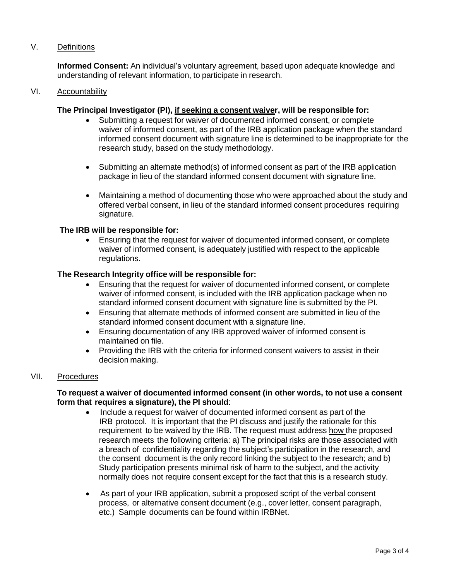### V. Definitions

**Informed Consent:** An individual's voluntary agreement, based upon adequate knowledge and understanding of relevant information, to participate in research.

#### VI. Accountability

#### **The Principal Investigator (PI), if seeking a consent waiver, will be responsible for:**

- Submitting a request for waiver of documented informed consent, or complete waiver of informed consent, as part of the IRB application package when the standard informed consent document with signature line is determined to be inappropriate for the research study, based on the study methodology.
- Submitting an alternate method(s) of informed consent as part of the IRB application package in lieu of the standard informed consent document with signature line.
- Maintaining a method of documenting those who were approached about the study and offered verbal consent, in lieu of the standard informed consent procedures requiring signature.

#### **The IRB will be responsible for:**

 Ensuring that the request for waiver of documented informed consent, or complete waiver of informed consent, is adequately justified with respect to the applicable regulations.

#### **The Research Integrity office will be responsible for:**

- Ensuring that the request for waiver of documented informed consent, or complete waiver of informed consent, is included with the IRB application package when no standard informed consent document with signature line is submitted by the PI.
- Ensuring that alternate methods of informed consent are submitted in lieu of the standard informed consent document with a signature line.
- Ensuring documentation of any IRB approved waiver of informed consent is maintained on file.
- Providing the IRB with the criteria for informed consent waivers to assist in their decision making.

### VII. Procedures

### **To request a waiver of documented informed consent (in other words, to not use a consent form that requires a signature), the PI should**:

- Include a request for waiver of documented informed consent as part of the IRB protocol. It is important that the PI discuss and justify the rationale for this requirement to be waived by the IRB. The request must address how the proposed research meets the following criteria: a) The principal risks are those associated with a breach of confidentiality regarding the subject's participation in the research, and the consent document is the only record linking the subject to the research; and b) Study participation presents minimal risk of harm to the subject, and the activity normally does not require consent except for the fact that this is a research study.
- As part of your IRB application, submit a proposed script of the verbal consent process, or alternative consent document (e.g., cover letter, consent paragraph, etc.) Sample documents can be found within IRBNet.